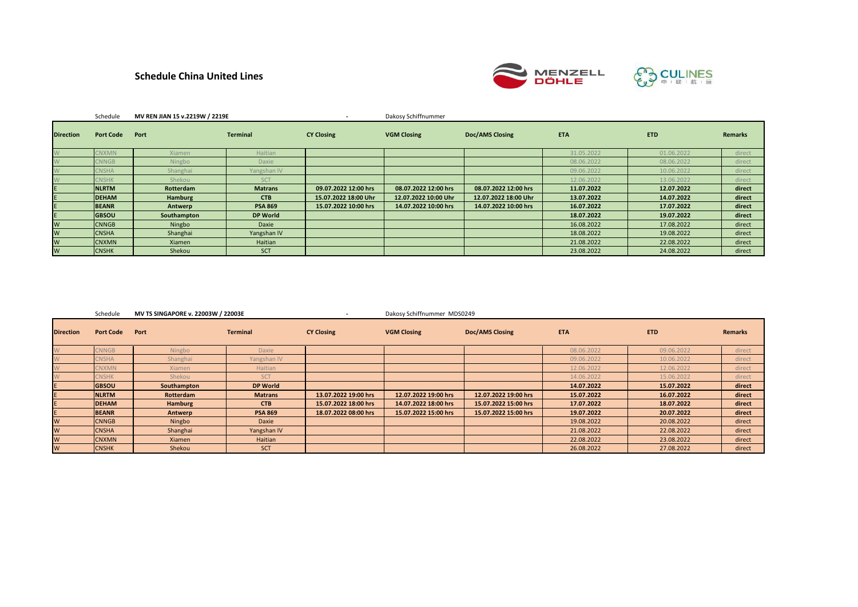# **Schedule China United Lines**



|                  | Schedule         | MV REN JIAN 15 v.2219W / 2219E |                 |                      | Dakosy Schiffnummer  |                        |            |            |                |
|------------------|------------------|--------------------------------|-----------------|----------------------|----------------------|------------------------|------------|------------|----------------|
| <b>Direction</b> | <b>Port Code</b> | Port                           | <b>Terminal</b> | <b>CY Closing</b>    | <b>VGM Closing</b>   | <b>Doc/AMS Closing</b> | <b>ETA</b> | <b>ETD</b> | <b>Remarks</b> |
|                  | <b>NNXMN</b>     | <b>Xiamen</b>                  | Haitian         |                      |                      |                        | 31.05.2022 | 01.06.2022 | direct         |
|                  | CNNGB            | Ningbo                         | Daxie           |                      |                      |                        | 08.06.2022 | 08.06.2022 | direct         |
|                  | $SNSHA$          | Shanghai                       | Yangshan IV     |                      |                      |                        | 09.06.2022 | 10.06.2022 | direct         |
|                  | <b>CNSHK</b>     | Shekou                         | SCT             |                      |                      |                        | 12.06.2022 | 13.06.2022 | direct         |
|                  | <b>NLRTM</b>     | Rotterdam                      | <b>Matrans</b>  | 09.07.2022 12:00 hrs | 08.07.2022 12:00 hrs | 08.07.2022 12:00 hrs   | 11.07.2022 | 12.07.2022 | direct         |
|                  | <b>DEHAM</b>     | <b>Hamburg</b>                 | <b>CTB</b>      | 15.07.2022 18:00 Uhr | 12.07.2022 10:00 Uhr | 12.07.2022 18:00 Uhr   | 13.07.2022 | 14.07.2022 | direct         |
|                  | <b>BEANR</b>     | Antwerp                        | <b>PSA 869</b>  | 15.07.2022 10:00 hrs | 14.07.2022 10:00 hrs | 14.07.2022 10:00 hrs   | 16.07.2022 | 17.07.2022 | direct         |
|                  | <b>GBSOU</b>     | Southampton                    | <b>DP World</b> |                      |                      |                        | 18.07.2022 | 19.07.2022 | direct         |
| W                | <b>CNNGB</b>     | Ningbo                         | Daxie           |                      |                      |                        | 16.08.2022 | 17.08.2022 | direct         |
| W                | <b>CNSHA</b>     | Shanghai                       | Yangshan IV     |                      |                      |                        | 18.08.2022 | 19.08.2022 | direct         |
| W                | <b>CNXMN</b>     | <b>Xiamen</b>                  | Haitian         |                      |                      |                        | 21.08.2022 | 22.08.2022 | direct         |
| W                | <b>CNSHK</b>     | Shekou                         | SCT             |                      |                      |                        | 23.08.2022 | 24.08.2022 | direct         |

| Schedule | MV TS SINGAPORE v. 22003W / 22003E |  | Dakosy Schiffnummer MDS0249 |
|----------|------------------------------------|--|-----------------------------|
|----------|------------------------------------|--|-----------------------------|

| <b>Direction</b> | <b>Port Code</b> | Port          | <b>Terminal</b> | <b>CY Closing</b>    | <b>VGM Closing</b>   | <b>Doc/AMS Closing</b> | <b>ETA</b> | <b>ETD</b> | <b>Remarks</b> |
|------------------|------------------|---------------|-----------------|----------------------|----------------------|------------------------|------------|------------|----------------|
|                  | <b>NNGB</b>      | Ningbo        | Daxie           |                      |                      |                        | 08.06.2022 | 09.06.2022 | direct         |
|                  | <b>NSHA</b>      | Shanghai      | Yangshan IV     |                      |                      |                        | 09.06.2022 | 10.06.2022 | direct         |
|                  | <b>NXMN</b>      | <b>Xiamen</b> | Haitian         |                      |                      |                        | 12.06.2022 | 12.06.2022 | direct         |
|                  | <b>CNSHK</b>     | Shekou        | <b>SCT</b>      |                      |                      |                        | 14.06.2022 | 15.06.2022 | direct         |
|                  | <b>GBSOU</b>     | Southampton   | <b>DP World</b> |                      |                      |                        | 14.07.2022 | 15.07.2022 | direct         |
|                  | <b>NLRTM</b>     | Rotterdam     | <b>Matrans</b>  | 13.07.2022 19:00 hrs | 12.07.2022 19:00 hrs | 12.07.2022 19:00 hrs   | 15.07.2022 | 16.07.2022 | direct         |
|                  | <b>DEHAM</b>     | Hamburg       | <b>CTB</b>      | 15.07.2022 18:00 hrs | 14.07.2022 18:00 hrs | 15.07.2022 15:00 hrs   | 17.07.2022 | 18.07.2022 | direct         |
|                  | <b>BEANR</b>     | Antwerp       | <b>PSA 869</b>  | 18.07.2022 08:00 hrs | 15.07.2022 15:00 hrs | 15.07.2022 15:00 hrs   | 19.07.2022 | 20.07.2022 | direct         |
| W                | <b>CNNGB</b>     | Ningbo        | Daxie           |                      |                      |                        | 19.08.2022 | 20.08.2022 | direct         |
| W                | <b>CNSHA</b>     | Shanghai      | Yangshan IV     |                      |                      |                        | 21.08.2022 | 22.08.2022 | direct         |
| W                | <b>CNXMN</b>     | Xiamen        | Haitian         |                      |                      |                        | 22.08.2022 | 23.08.2022 | direct         |
| W                | <b>CNSHK</b>     | Shekou        | SCT             |                      |                      |                        | 26.08.2022 | 27.08.2022 | direct         |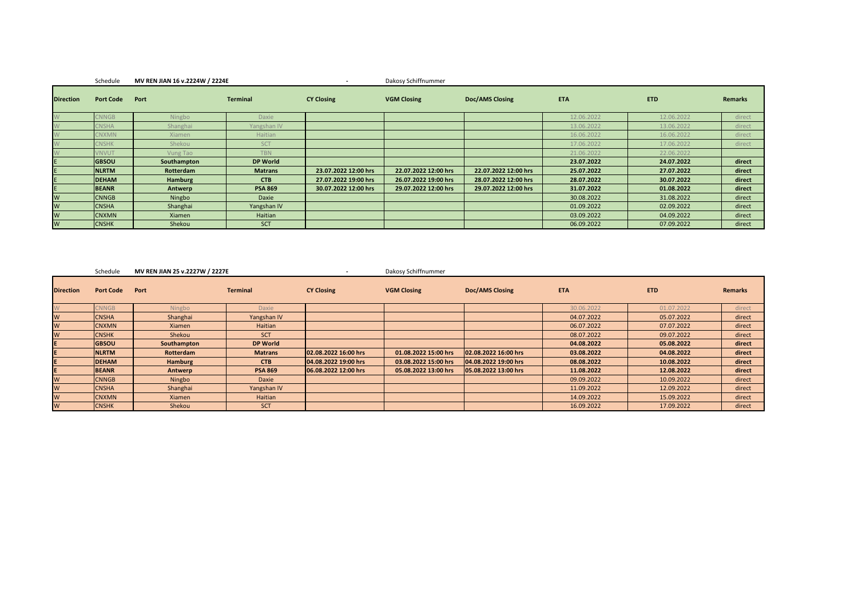### Schedule **MV REN JIAN 16 v.2224W / 2224E -** Dakosy Schiffnummer

| <b>Direction</b> | <b>Port Code</b> | Port           | <b>Terminal</b> | <b>CY Closing</b>    | <b>VGM Closing</b>   | Doc/AMS Closing      | <b>ETA</b> | <b>ETD</b> | <b>Remarks</b> |
|------------------|------------------|----------------|-----------------|----------------------|----------------------|----------------------|------------|------------|----------------|
|                  | <b>CNNGB</b>     | Ningbo         | Daxie           |                      |                      |                      | 12.06.2022 | 12.06.2022 | direct         |
| W                | <b>NSHA</b>      | Shanghai       | Yangshan IV     |                      |                      |                      | 13.06.2022 | 13.06.2022 | direct         |
|                  | <b>CNXMN</b>     | <b>Xiamen</b>  | Haitian         |                      |                      |                      | 16.06.2022 | 16.06.2022 | direct         |
|                  | <b>NSHK</b>      | Shekou         | <b>SCT</b>      |                      |                      |                      | 17.06.2022 | 17.06.2022 | direct         |
|                  | <b>NVUT</b>      | Vung Tao       | <b>TBN</b>      |                      |                      |                      | 21.06.2022 | 22.06.2022 |                |
|                  | <b>GBSOU</b>     | Southampton    | <b>DP World</b> |                      |                      |                      | 23.07.2022 | 24.07.2022 | direct         |
|                  | <b>NLRTM</b>     | Rotterdam      | <b>Matrans</b>  | 23.07.2022 12:00 hrs | 22.07.2022 12:00 hrs | 22.07.2022 12:00 hrs | 25.07.2022 | 27.07.2022 | direct         |
|                  | <b>DEHAM</b>     | <b>Hamburg</b> | <b>CTB</b>      | 27.07.2022 19:00 hrs | 26.07.2022 19:00 hrs | 28.07.2022 12:00 hrs | 28.07.2022 | 30.07.2022 | direct         |
| E                | <b>BEANR</b>     | Antwerp        | <b>PSA 869</b>  | 30.07.2022 12:00 hrs | 29.07.2022 12:00 hrs | 29.07.2022 12:00 hrs | 31.07.2022 | 01.08.2022 | direct         |
| W                | <b>CNNGB</b>     | Ningbo         | Daxie           |                      |                      |                      | 30.08.2022 | 31.08.2022 | direct         |
| W                | <b>CNSHA</b>     | Shanghai       | Yangshan IV     |                      |                      |                      | 01.09.2022 | 02.09.2022 | direct         |
| W                | <b>CNXMN</b>     | Xiamen         | Haitian         |                      |                      |                      | 03.09.2022 | 04.09.2022 | direct         |
| W                | <b>CNSHK</b>     | Shekou         | SCT             |                      |                      |                      | 06.09.2022 | 07.09.2022 | direct         |

#### Schedule **MV REN JIAN 25 v.2227W / 2227E -** Dakosy Schiffnummer

| <b>Direction</b> | <b>Port Code</b> | Port           | <b>Terminal</b> | <b>CY Closing</b>    | <b>VGM Closing</b>   | Doc/AMS Closing      | <b>ETA</b> | ETD        | <b>Remarks</b> |
|------------------|------------------|----------------|-----------------|----------------------|----------------------|----------------------|------------|------------|----------------|
|                  | <b>NNGB</b>      | Ningbo         | <b>Daxie</b>    |                      |                      |                      | 30.06.2022 | 01.07.2022 | direct         |
| W                | <b>CNSHA</b>     | Shanghai       | Yangshan IV     |                      |                      |                      | 04.07.2022 | 05.07.2022 | direct         |
| W                | <b>CNXMN</b>     | Xiamen         | Haitian         |                      |                      |                      | 06.07.2022 | 07.07.2022 | direct         |
| W                | <b>CNSHK</b>     | Shekou         | <b>SCT</b>      |                      |                      |                      | 08.07.2022 | 09.07.2022 | direct         |
|                  | <b>GBSOU</b>     | Southampton    | <b>DP World</b> |                      |                      |                      | 04.08.2022 | 05.08.2022 | direct         |
|                  | <b>NLRTM</b>     | Rotterdam      | <b>Matrans</b>  | 02.08.2022 16:00 hrs | 01.08.2022 15:00 hrs | 02.08.2022 16:00 hrs | 03.08.2022 | 04.08.2022 | direct         |
|                  | <b>DEHAM</b>     | <b>Hamburg</b> | <b>CTB</b>      | 04.08.2022 19:00 hrs | 03.08.2022 15:00 hrs | 04.08.2022 19:00 hrs | 08.08.2022 | 10.08.2022 | direct         |
|                  | <b>BEANR</b>     | Antwerp        | <b>PSA 869</b>  | 06.08.2022 12:00 hrs | 05.08.2022 13:00 hrs | 05.08.2022 13:00 hrs | 11.08.2022 | 12.08.2022 | direct         |
| W                | <b>CNNGB</b>     | Ningbo         | Daxie           |                      |                      |                      | 09.09.2022 | 10.09.2022 | direct         |
| W                | <b>CNSHA</b>     | Shanghai       | Yangshan IV     |                      |                      |                      | 11.09.2022 | 12.09.2022 | direct         |
| W                | <b>CNXMN</b>     | Xiamen         | Haitian         |                      |                      |                      | 14.09.2022 | 15.09.2022 | direct         |
| <b>W</b>         | <b>CNSHK</b>     | Shekou         | <b>SCT</b>      |                      |                      |                      | 16.09.2022 | 17.09.2022 | direct         |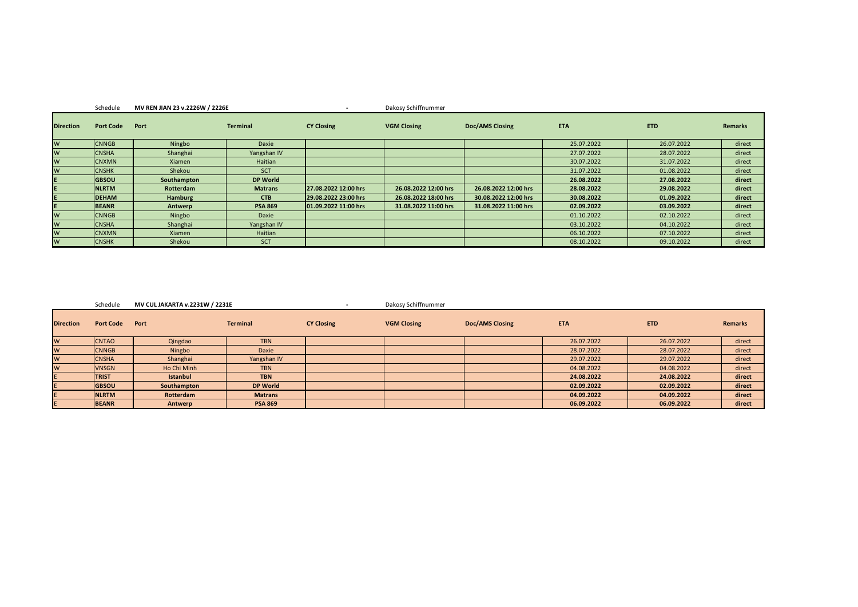|                  | Schedule         | MV REN JIAN 23 v.2226W / 2226E |                 |                      | Dakosy Schiffnummer  |                      |            |            |         |
|------------------|------------------|--------------------------------|-----------------|----------------------|----------------------|----------------------|------------|------------|---------|
| <b>Direction</b> | <b>Port Code</b> | Port                           | <b>Terminal</b> | <b>CY Closing</b>    | <b>VGM Closing</b>   | Doc/AMS Closing      | <b>ETA</b> | <b>ETD</b> | Remarks |
| W                | <b>CNNGB</b>     | Ningbo                         | Daxie           |                      |                      |                      | 25.07.2022 | 26.07.2022 | direct  |
| W                | <b>CNSHA</b>     | Shanghai                       | Yangshan IV     |                      |                      |                      | 27.07.2022 | 28.07.2022 | direct  |
| W                | <b>CNXMN</b>     | Xiamen                         | Haitian         |                      |                      |                      | 30.07.2022 | 31.07.2022 | direct  |
| W                | <b>CNSHK</b>     | Shekou                         | <b>SCT</b>      |                      |                      |                      | 31.07.2022 | 01.08.2022 | direct  |
| E                | <b>GBSOU</b>     | Southampton                    | <b>DP World</b> |                      |                      |                      | 26.08.2022 | 27.08.2022 | direct  |
| E                | <b>NLRTM</b>     | Rotterdam                      | <b>Matrans</b>  | 27.08.2022 12:00 hrs | 26.08.2022 12:00 hrs | 26.08.2022 12:00 hrs | 28.08.2022 | 29.08.2022 | direct  |
|                  | <b>DEHAM</b>     | Hamburg                        | <b>CTB</b>      | 29.08.2022 23:00 hrs | 26.08.2022 18:00 hrs | 30.08.2022 12:00 hrs | 30.08.2022 | 01.09.2022 | direct  |
| E.               | <b>BEANR</b>     | Antwerp                        | <b>PSA 869</b>  | 01.09.2022 11:00 hrs | 31.08.2022 11:00 hrs | 31.08.2022 11:00 hrs | 02.09.2022 | 03.09.2022 | direct  |
| W                | <b>CNNGB</b>     | Ningbo                         | Daxie           |                      |                      |                      | 01.10.2022 | 02.10.2022 | direct  |
| W                | <b>CNSHA</b>     | Shanghai                       | Yangshan IV     |                      |                      |                      | 03.10.2022 | 04.10.2022 | direct  |
| W                | <b>CNXMN</b>     | Xiamen                         | Haitian         |                      |                      |                      | 06.10.2022 | 07.10.2022 | direct  |
| W                | <b>CNSHK</b>     | Shekou                         | <b>SCT</b>      |                      |                      |                      | 08.10.2022 | 09.10.2022 | direct  |

Schedule **MV CUL JAKARTA v.2231W / 2231E -** Dakosy Schiffnummer

۰.

| <b>Direction</b> | <b>Port Code</b> | Port            | <b>Terminal</b> | <b>CY Closing</b> | <b>VGM Closing</b> | <b>Doc/AMS Closing</b> | <b>ETA</b> | <b>ETD</b> | <b>Remarks</b> |
|------------------|------------------|-----------------|-----------------|-------------------|--------------------|------------------------|------------|------------|----------------|
| W                | <b>CNTAO</b>     | Qingdao         | <b>TBN</b>      |                   |                    |                        | 26.07.2022 | 26.07.2022 | direct         |
| W                | <b>CNNGB</b>     | Ningbo          | Daxie           |                   |                    |                        | 28.07.2022 | 28.07.2022 | direct         |
| W                | <b>CNSHA</b>     | Shanghai        | Yangshan IV     |                   |                    |                        | 29.07.2022 | 29.07.2022 | direct         |
| W                | <b>VNSGN</b>     | Ho Chi Minh     | <b>TBN</b>      |                   |                    |                        | 04.08.2022 | 04.08.2022 | direct         |
|                  | <b>TRIST</b>     | <b>Istanbul</b> | <b>TBN</b>      |                   |                    |                        | 24.08.2022 | 24.08.2022 | direct         |
|                  | <b>GBSOU</b>     | Southampton     | <b>DP World</b> |                   |                    |                        | 02.09.2022 | 02.09.2022 | direct         |
|                  | <b>NLRTM</b>     | Rotterdam       | <b>Matrans</b>  |                   |                    |                        | 04.09.2022 | 04.09.2022 | direct         |
|                  | <b>BEANR</b>     | Antwerp         | <b>PSA 869</b>  |                   |                    |                        | 06.09.2022 | 06.09.2022 | direct         |